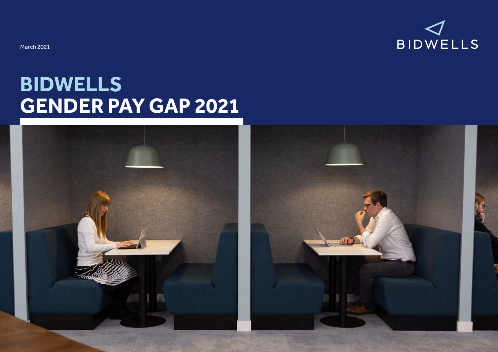

# **BIDWELLS GENDER PAY GAP 2021**

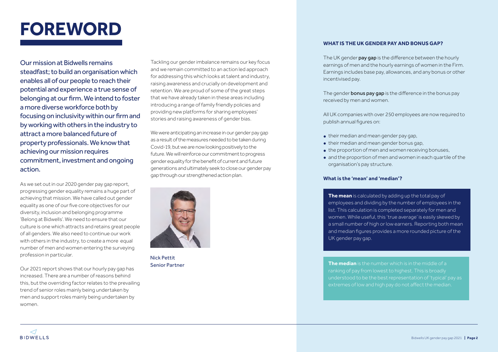### **FOREWORD**

Our mission at Bidwells remains steadfast; to build an organisation which enables all of our people to reach their potential and experience a true sense of belonging at our firm. We intend to foster a more diverse workforce both by focusing on inclusivity within our firm and by working with others in the industry to attract a more balanced future of property professionals. We know that achieving our mission requires commitment, investment and ongoing action.

As we set out in our 2020 gender pay gap report. progressing gender equality remains a huge part of achieving that mission. We have called out gender equality as one of our five core objectives for our diversity, inclusion and belonging programme 'Belong at Bidwells'. We need to ensure that our culture is one which attracts and retains great people of all genders. We also need to continue our work with others in the industry, to create a more equal number of men and women entering the surveying profession in particular.

Our 2021 report shows that our hourly pay gap has increased. There are a number of reasons behind this, but the overriding factor relates to the prevailing trend of senior roles mainly being undertaken by men and support roles mainly being undertaken by women.

Tackling our gender imbalance remains our key focus and we remain committed to an action led approach for addressing this which looks at talent and industry, raising awareness and crucially on development and retention. We are proud of some of the great steps that we have already taken in these areas including introducing a range of family friendly policies and providing new platforms for sharing employees' stories and raising awareness of gender bias.

We were anticipating an increase in our gender pay gap as a result of the measures needed to be taken during Covid-19, but we are now looking positively to the future. We will reinforce our commitment to progress gender equality for the benefit of current and future generations and ultimately seek to close our gender pay gap through our strengthened action plan.



Senior Partner

#### **WHAT IS THE UK GENDER PAY AND BONUS GAP?**

The UK gender pay gap is the difference between the hourly earnings of men and the hourly earnings of women in the Firm. Earnings includes base pay, allowances, and any bonus or other incentivised pay.

The gender **bonus pay gap** is the difference in the bonus pay received by men and women.

All UK companies with over 250 employees are now required to publish annual figures on:

- **•** their median and mean gender pay gap,
- **•** their median and mean gender bonus gap,
- **•** the proportion of men and women receiving bonuses,
- **•** and the proportion of men and women in each quartile of the organisation's pay structure.

#### **What is the 'mean' and 'median'?**

**The mean** is calculated by adding up the total pay of employees and dividing by the number of employees in the list. This calculation is completed separately for men and women. While useful, this 'true average' is easily skewed by a small number of high or low earners. Reporting both mean and median figures provides a more rounded picture of the UK gender pay gap.

**The median** is the number which is in the middle of a ranking of pay from lowest to highest. This is broadly understood to be the best representation of 'typical' pay as **Nick Pettit**<br> **The median** is the number which is in the middle of a<br>
ranking of pay from lowest to highest. This is broadly<br>
understood to be the best representation of 'typical' pay as<br>
extremes of low and high pay do n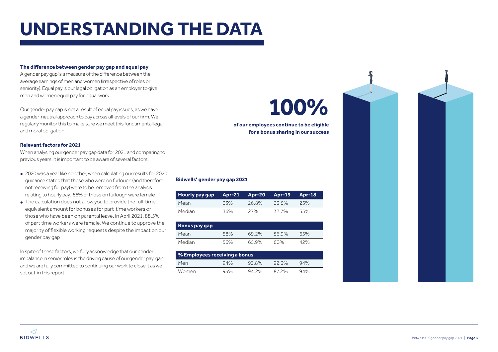### **UNDERSTANDING THE DATA**

#### **The difference between gender pay gap and equal pay**

A gender pay gap is a measure of the difference between the average earnings of men and women (irrespective of roles or seniority). Equal pay is our legal obligation as an employer to give men and women equal pay for equal work.

Our gender pay gap is not a result of equal pay issues, as we have a gender-neutral approach to pay across all levels of our firm. We regularly monitor this to make sure we meet this fundamental legal and moral obligation.

#### **Relevant factors for 2021**

When analysing our gender pay gap data for 2021 and comparing to previous years, it is important to be aware of several factors:

- **•** 2020 was a year like no other, when calculating our results for 2020 guidance stated that those who were on furlough (and therefore not receiving full pay) were to be removed from the analysis relating to hourly pay. 66% of those on furlough were female
- **•** The calculation does not allow you to provide the full-time equivalent amount for bonuses for part-time workers or those who have been on parental leave. In April 2021, 88.5% of part time workers were female. We continue to approve the majority of flexible working requests despite the impact on our gender pay gap

In spite of these factors, we fully acknowledge that our gender imbalance in senior roles is the driving cause of our gender pay gap and we are fully committed to continuing our work to close it as we set out in this report.

# **100%**

**of our employees continue to be eligible for a bonus sharing in our success**

### **Bidwells' gender pay gap 2021**

| Hourly pay gap |     | Apr-21 Apr-20 Apr-19 |       | Apr-18 |
|----------------|-----|----------------------|-------|--------|
| Mean           | 33% | 26.8%                | 33.5% | 25%    |
| Median         | 36% | 27%                  | 32.7% | 3.5%   |

| <b>Bonus pay gap</b> |     |       |       |     |
|----------------------|-----|-------|-------|-----|
| Mean                 | 58% | 69 2% | 56.9% | 65% |
| Median               | 56% | 65.9% | 60%   | 42% |

| $\,$ % Employees receiving a bonus $\,$ |     |       |       |     |  |  |  |
|-----------------------------------------|-----|-------|-------|-----|--|--|--|
| Men                                     | 94% | 93.8% | 92.3% | 94% |  |  |  |
| Women                                   | 93% | 94.2% | 872%  | 94% |  |  |  |

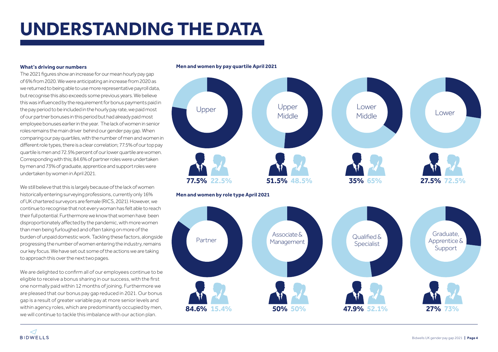### **UNDERSTANDING THE DATA**

#### **What's driving our numbers**

The 2021 figures show an increase for our mean hourly pay gap of 6% from 2020. We were anticipating an increase from 2020 as we returned to being able to use more representative payroll data, but recognise this also exceeds some previous years. We believe this was influenced by the requirement for bonus payments paid in the pay period to be included in the hourly pay rate, we paid most of our partner bonuses in this period but had already paid most employee bonuses earlier in the year. The lack of women in senior roles remains the main driver behind our gender pay gap. When comparing our pay quartiles, with the number of men and women in different role types, there is a clear correlation; 77.5% of our top pay quartile is men and 72.5% percent of our lower quartile are women. Corresponding with this; 84.6% of partner roles were undertaken by men and 73% of graduate, apprentice and support roles were undertaken by women in April 2021.

We still believe that this is largely because of the lack of women historically entering surveying professions, currently only 16% of UK chartered surveyors are female (RICS, 2021). However, we continue to recognise that not every woman has felt able to reach their full potential. Furthermore we know that women have been disproportionately affected by the pandemic, with more women than men being furloughed and often taking on more of the burden of unpaid domestic work. Tackling these factors, alongside progressing the number of women entering the industry, remains our key focus. We have set out some of the actions we are taking to approach this over the next two pages.

We are delighted to confirm all of our employees continue to be eligible to receive a bonus sharing in our success, with the first one normally paid within 12 months of joining. Furthermore we are pleased that our bonus pay gap reduced in 2021. Our bonus gap is a result of greater variable pay at more senior levels and within agency roles, which are predominantly occupied by men, we will continue to tackle this imbalance with our action plan.

#### **Men and women by pay quartile April 2021**

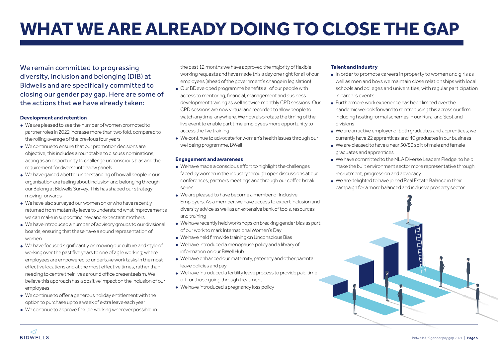# **WHAT WE ARE ALREADY DOING TO CLOSE THE GAP**

We remain committed to progressing diversity, inclusion and belonging (DIB) at Bidwells and are specifically committed to closing our gender pay gap. Here are some of the actions that we have already taken:

#### **Development and retention**

- **•** We are pleased to see the number of women promoted to partner roles in 2022 increase more than two fold, compared to the rolling average of the previous four years
- **•** We continue to ensure that our promotion decisions are objective, this includes a roundtable to discuss nominations; acting as an opportunity to challenge unconscious bias and the requirement for diverse interview panels
- **•** We have gained a better understanding of how all people in our organisation are feeling about inclusion and belonging through our Belong at Bidwells Survey. This has shaped our strategy moving forwards
- **•** We have also surveyed our women on or who have recently returned from maternity leave to understand what improvements we can make in supporting new and expectant mothers
- **•** We have introduced a number of advisory groups to our divisional boards, ensuring that these have a sound representation of women
- **•** We have focused significantly on moving our culture and style of working over the past five years to one of agile working; where employees are empowered to undertake work tasks in the most effective locations and at the most effective times, rather than needing to centre their lives around office presenteeism. We believe this approach has a positive impact on the inclusion of our employees
- **•** We continue to offer a generous holiday entitlement with the option to purchase up to a week of extra leave each year
- **•** We continue to approve flexible working wherever possible, in

**BIDWELLS** 

the past 12 months we have approved the majority of flexible working requests and have made this a day one right for all of our employees (ahead of the government's change in legislation)

- **•** Our BDeveloped programme benefits all of our people with access to mentoring, financial, management and business development training as well as twice monthly CPD sessions. Our CPD sessions are now virtual and recorded to allow people to watch anytime, anywhere. We now also rotate the timing of the live event to enable part time employees more opportunity to access the live training
- **•** We continue to advocate for women's health issues through our wellbeing programme, BWell

#### **Engagement and awareness**

- **•** We have made a conscious effort to highlight the challenges faced by women in the industry through open discussions at our conferences, partners meetings and through our coffee break series
- **•** We are pleased to have become a member of Inclusive Employers. As a member, we have access to expert inclusion and diversity advice as well as an extensive bank of tools, resources and training
- We have recently held workshops on breaking gender bias as part of our work to mark International Women's Day
- **•** We have held firmwide training on Unconscious Bias
- **•** We have introduced a menopause policy and a library of information on our BWell Hub
- **•** We have enhanced our maternity, paternity and other parental leave policies and pay
- **•** We have introduced a fertility leave process to provide paid time off for those going through treatment
- **•** We have introduced a pregnancy loss policy

#### **Talent and industry**

- **•** In order to promote careers in property to women and girls as well as men and boys we maintain close relationships with local schools and colleges and universities, with regular participation in careers events
- **•** Furthermore work experience has been limited over the pandemic we look forward to reintroducing this across our firm including hosting formal schemes in our Rural and Scotland divisions
- **•** We are an active employer of both graduates and apprentices; we currently have 22 apprentices and 40 graduates in our business
- **•** We are pleased to have a near 50/50 split of male and female graduates and apprentices
- **•** We have committed to the NLA Diverse Leaders Pledge, to help make the built environment sector more representative through recruitment, progression and advocacy
- **•** We are delighted to have joined Real Estate Balance in their campaign for a more balanced and inclusive property sector

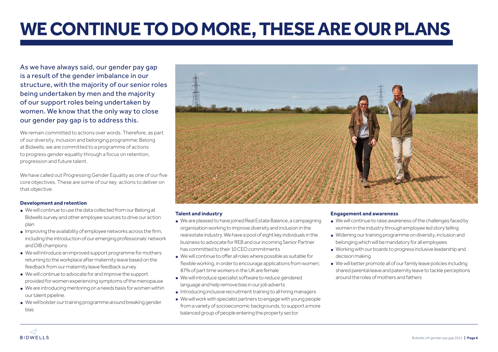### **WE CONTINUE TO DO MORE, THESE ARE OUR PLANS**

As we have always said, our gender pay gap is a result of the gender imbalance in our structure, with the majority of our senior roles being undertaken by men and the majority of our support roles being undertaken by women. We know that the only way to close our gender pay gap is to address this.

We remain committed to actions over words. Therefore, as part of our diversity, inclusion and belonging programme; Belong at Bidwells, we are committed to a programme of actions to progress gender equality through a focus on retention, progression and future talent.

We have called out Progressing Gender Equality as one of our five core objectives. These are some of our key actions to deliver on that objective:

#### **Development and retention**

- **•** We will continue to use the data collected from our Belong at Bidwells survey and other employee sources to drive our action plan
- **•** Improving the availability of employee networks across the firm, including the introduction of our emerging professionals' network and DIB champions
- **•** We will introduce an improved support programme for mothers returning to the workplace after maternity leave based on the feedback from our maternity leave feedback survey
- **•** We will continue to advocate for and improve the support provided for women experiencing symptoms of the menopause
- **•** We are introducing mentoring on a needs basis for women within our talent pipeline.
- **•** We will bolster our training programme around breaking gender bias



#### **Talent and industry**

- **•** We are pleased to have joined Real Estate Balance, a campaigning organisation working to improve diversity and inclusion in the real estate industry. We have a pool of eight key individuals in the business to advocate for REB and our incoming Senior Partner has committed to their 10 CEO commitments
- **•** We will continue to offer all roles where possible as suitable for flexible working, in order to encourage applications from women; 87% of part time workers in the UK are female
- **•** We will introduce specialist software to reduce gendered language and help remove bias in our job adverts
- **•** Introducing inclusive recruitment training to all hiring managers
- **•** We will work with specialist partners to engage with young people from a variety of socioeconomic backgrounds, to support a more balanced group of people entering the property sector

#### **Engagement and awareness**

- We will continue to raise awareness of the challenges faced by women in the industry through employee led story telling
- **•** Widening our training programme on diversity, inclusion and belonging which will be mandatory for all employees
- **•** Working with our boards to progress inclusive leadership and decision making
- **•** We will better promote all of our family leave policies including shared parental leave and paternity leave to tackle perceptions around the roles of mothers and fathers